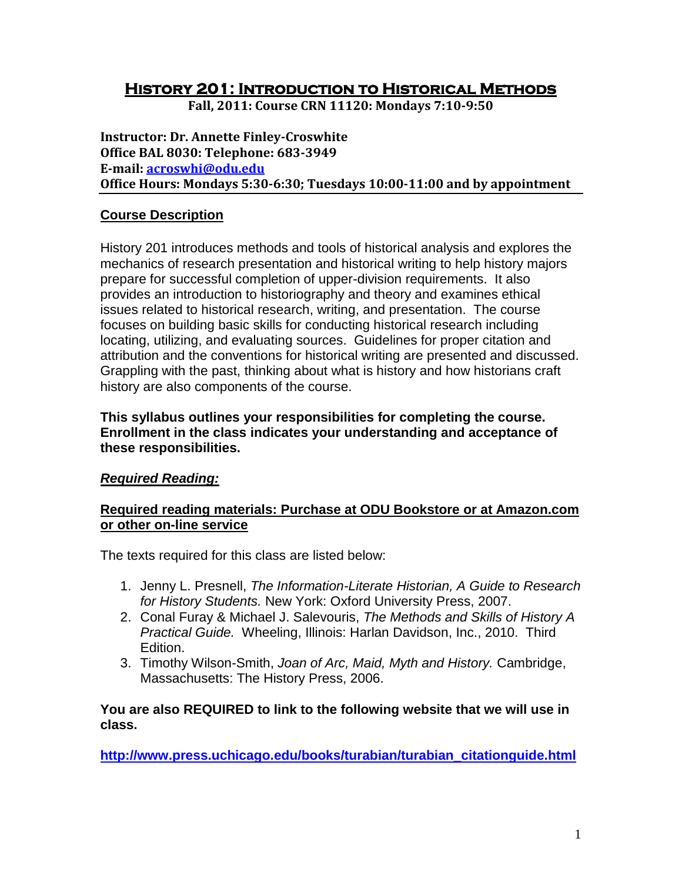# **History 201: Introduction to Historical Methods**

**Fall, 2011: Course CRN 11120: Mondays 7:10-9:50**

**Instructor: Dr. Annette Finley-Croswhite Office BAL 8030: Telephone: 683-3949 E-mail: [acroswhi@odu.edu](mailto:acroswhi@odu.edu) Office Hours: Mondays 5:30-6:30; Tuesdays 10:00-11:00 and by appointment**

# **Course Description**

History 201 introduces methods and tools of historical analysis and explores the mechanics of research presentation and historical writing to help history majors prepare for successful completion of upper-division requirements. It also provides an introduction to historiography and theory and examines ethical issues related to historical research, writing, and presentation. The course focuses on building basic skills for conducting historical research including locating, utilizing, and evaluating sources. Guidelines for proper citation and attribution and the conventions for historical writing are presented and discussed. Grappling with the past, thinking about what is history and how historians craft history are also components of the course.

**This syllabus outlines your responsibilities for completing the course. Enrollment in the class indicates your understanding and acceptance of these responsibilities.**

# *Required Reading:*

### **Required reading materials: Purchase at ODU Bookstore or at Amazon.com or other on-line service**

The texts required for this class are listed below:

- 1. Jenny L. Presnell, *The Information-Literate Historian, A Guide to Research for History Students.* New York: Oxford University Press, 2007.
- 2. Conal Furay & Michael J. Salevouris, *The Methods and Skills of History A Practical Guide.* Wheeling, Illinois: Harlan Davidson, Inc., 2010. Third Edition.
- 3. Timothy Wilson-Smith, *Joan of Arc, Maid, Myth and History.* Cambridge, Massachusetts: The History Press, 2006.

### **You are also REQUIRED to link to the following website that we will use in class.**

**[http://www.press.uchicago.edu/books/turabian/turabian\\_citationguide.html](http://www.press.uchicago.edu/books/turabian/turabian_citationguide.html)**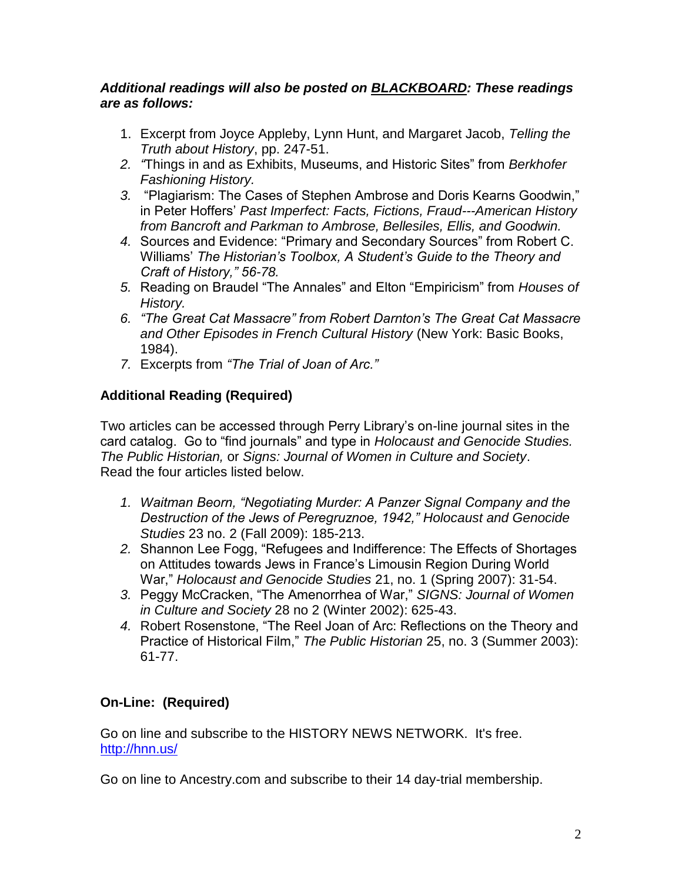### *Additional readings will also be posted on BLACKBOARD: These readings are as follows:*

- 1. Excerpt from Joyce Appleby, Lynn Hunt, and Margaret Jacob, *Telling the Truth about History*, pp. 247-51.
- *2. "*Things in and as Exhibits, Museums, and Historic Sites" from *Berkhofer Fashioning History.*
- *3.* "Plagiarism: The Cases of Stephen Ambrose and Doris Kearns Goodwin," in Peter Hoffers' *Past Imperfect: Facts, Fictions, Fraud---American History from Bancroft and Parkman to Ambrose, Bellesiles, Ellis, and Goodwin.*
- *4.* Sources and Evidence: "Primary and Secondary Sources" from Robert C. Williams' *The Historian's Toolbox, A Student's Guide to the Theory and Craft of History," 56-78.*
- *5.* Reading on Braudel "The Annales" and Elton "Empiricism" from *Houses of History.*
- *6. "The Great Cat Massacre" from Robert Darnton's The Great Cat Massacre and Other Episodes in French Cultural History* (New York: Basic Books, 1984).
- *7.* Excerpts from *"The Trial of Joan of Arc."*

# **Additional Reading (Required)**

Two articles can be accessed through Perry Library's on-line journal sites in the card catalog. Go to "find journals" and type in *Holocaust and Genocide Studies. The Public Historian,* or *Signs: Journal of Women in Culture and Society*. Read the four articles listed below.

- *1. Waitman Beorn, "Negotiating Murder: A Panzer Signal Company and the Destruction of the Jews of Peregruznoe, 1942," Holocaust and Genocide Studies* 23 no. 2 (Fall 2009): 185-213.
- *2.* Shannon Lee Fogg, "Refugees and Indifference: The Effects of Shortages on Attitudes towards Jews in France's Limousin Region During World War," *Holocaust and Genocide Studies* 21, no. 1 (Spring 2007): 31-54.
- *3.* Peggy McCracken, "The Amenorrhea of War," *SIGNS: Journal of Women in Culture and Society* 28 no 2 (Winter 2002): 625-43.
- *4.* Robert Rosenstone, "The Reel Joan of Arc: Reflections on the Theory and Practice of Historical Film," *The Public Historian* 25, no. 3 (Summer 2003): 61-77.

# **On-Line: (Required)**

Go on line and subscribe to the HISTORY NEWS NETWORK. It's free. <http://hnn.us/>

Go on line to Ancestry.com and subscribe to their 14 day-trial membership.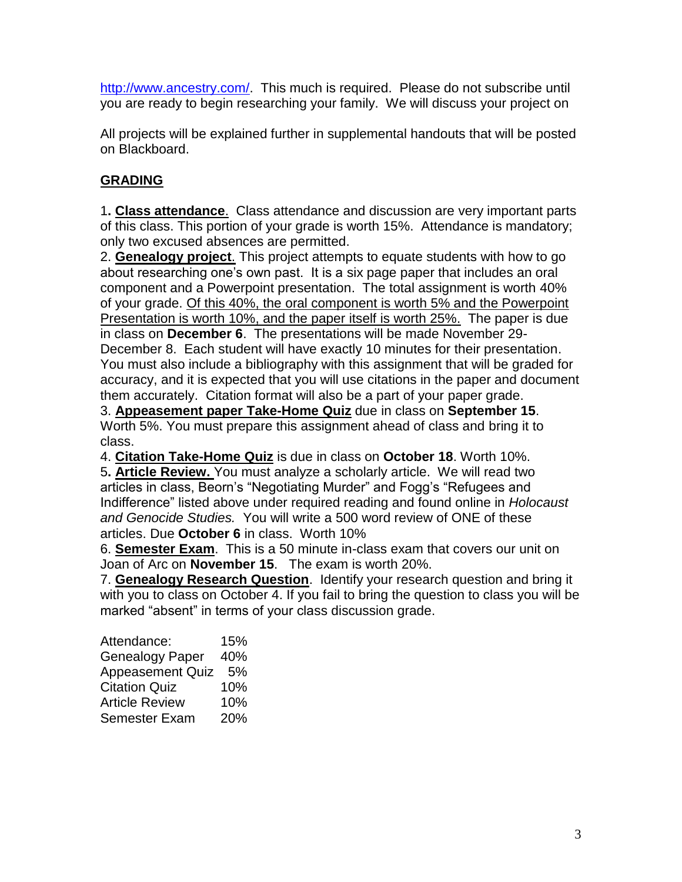[http://www.ancestry.com/.](http://www.ancestry.com/) This much is required. Please do not subscribe until you are ready to begin researching your family. We will discuss your project on

All projects will be explained further in supplemental handouts that will be posted on Blackboard.

# **GRADING**

1**. Class attendance**. Class attendance and discussion are very important parts of this class. This portion of your grade is worth 15%. Attendance is mandatory; only two excused absences are permitted.

2. **Genealogy project**. This project attempts to equate students with how to go about researching one's own past. It is a six page paper that includes an oral component and a Powerpoint presentation. The total assignment is worth 40% of your grade. Of this 40%, the oral component is worth 5% and the Powerpoint Presentation is worth 10%, and the paper itself is worth 25%. The paper is due in class on **December 6**. The presentations will be made November 29- December 8. Each student will have exactly 10 minutes for their presentation. You must also include a bibliography with this assignment that will be graded for accuracy, and it is expected that you will use citations in the paper and document them accurately. Citation format will also be a part of your paper grade.

3. **Appeasement paper Take-Home Quiz** due in class on **September 15**. Worth 5%. You must prepare this assignment ahead of class and bring it to class.

4. **Citation Take-Home Quiz** is due in class on **October 18**. Worth 10%.

5**. Article Review.** You must analyze a scholarly article. We will read two articles in class, Beorn's "Negotiating Murder" and Fogg's "Refugees and Indifference" listed above under required reading and found online in *Holocaust and Genocide Studies.* You will write a 500 word review of ONE of these articles. Due **October 6** in class. Worth 10%

6. **Semester Exam**. This is a 50 minute in-class exam that covers our unit on Joan of Arc on **November 15**. The exam is worth 20%.

7. **Genealogy Research Question**. Identify your research question and bring it with you to class on October 4. If you fail to bring the question to class you will be marked "absent" in terms of your class discussion grade.

Attendance: 15% Genealogy Paper 40% Appeasement Quiz 5% Citation Quiz 10% Article Review 10% Semester Exam 20%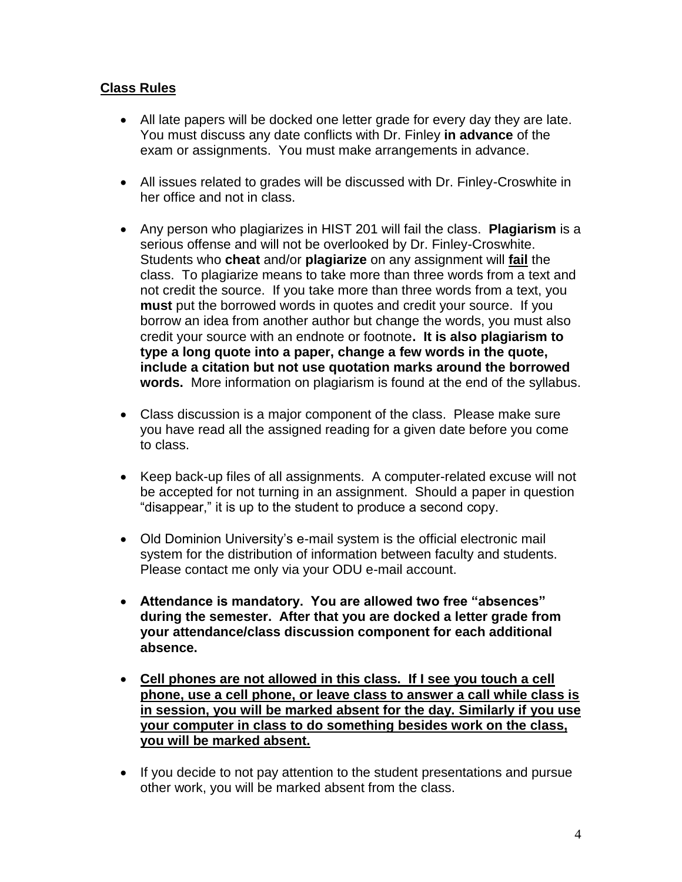# **Class Rules**

- All late papers will be docked one letter grade for every day they are late. You must discuss any date conflicts with Dr. Finley **in advance** of the exam or assignments. You must make arrangements in advance.
- All issues related to grades will be discussed with Dr. Finley-Croswhite in her office and not in class.
- Any person who plagiarizes in HIST 201 will fail the class. **Plagiarism** is a serious offense and will not be overlooked by Dr. Finley-Croswhite. Students who **cheat** and/or **plagiarize** on any assignment will **fail** the class. To plagiarize means to take more than three words from a text and not credit the source. If you take more than three words from a text, you **must** put the borrowed words in quotes and credit your source. If you borrow an idea from another author but change the words, you must also credit your source with an endnote or footnote**. It is also plagiarism to type a long quote into a paper, change a few words in the quote, include a citation but not use quotation marks around the borrowed words.** More information on plagiarism is found at the end of the syllabus.
- Class discussion is a major component of the class. Please make sure you have read all the assigned reading for a given date before you come to class.
- Keep back-up files of all assignments. A computer-related excuse will not be accepted for not turning in an assignment. Should a paper in question "disappear," it is up to the student to produce a second copy.
- Old Dominion University's e-mail system is the official electronic mail system for the distribution of information between faculty and students. Please contact me only via your ODU e-mail account.
- **Attendance is mandatory. You are allowed two free "absences" during the semester. After that you are docked a letter grade from your attendance/class discussion component for each additional absence.**
- **Cell phones are not allowed in this class. If I see you touch a cell phone, use a cell phone, or leave class to answer a call while class is in session, you will be marked absent for the day. Similarly if you use your computer in class to do something besides work on the class, you will be marked absent.**
- If you decide to not pay attention to the student presentations and pursue other work, you will be marked absent from the class.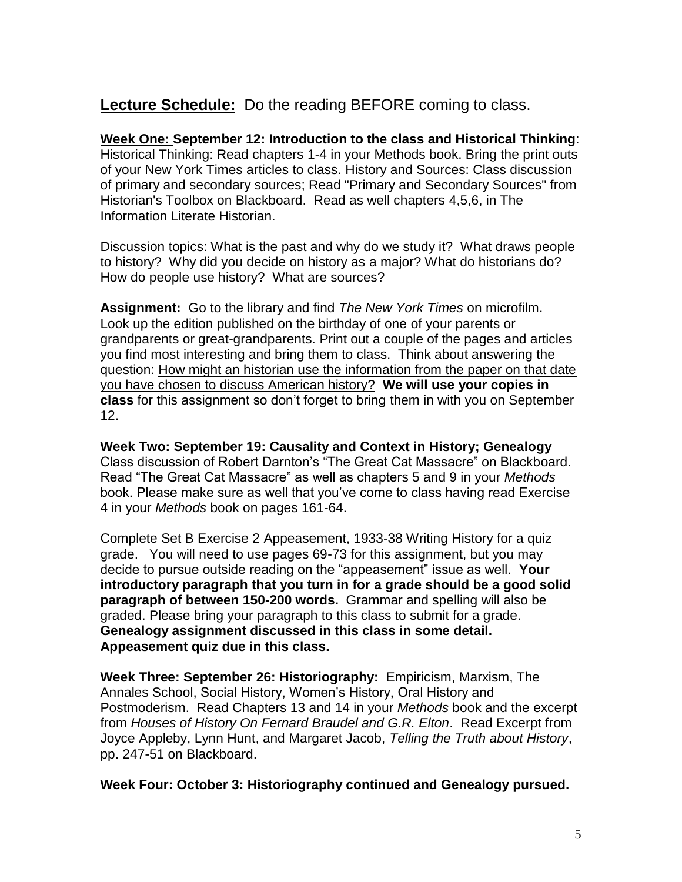# **Lecture Schedule:** Do the reading BEFORE coming to class.

**Week One: September 12: Introduction to the class and Historical Thinking**: Historical Thinking: Read chapters 1-4 in your Methods book. Bring the print outs of your New York Times articles to class. History and Sources: Class discussion of primary and secondary sources; Read "Primary and Secondary Sources" from Historian's Toolbox on Blackboard. Read as well chapters 4,5,6, in The Information Literate Historian.

Discussion topics: What is the past and why do we study it? What draws people to history? Why did you decide on history as a major? What do historians do? How do people use history? What are sources?

**Assignment:** Go to the library and find *The New York Times* on microfilm. Look up the edition published on the birthday of one of your parents or grandparents or great-grandparents. Print out a couple of the pages and articles you find most interesting and bring them to class. Think about answering the question: How might an historian use the information from the paper on that date you have chosen to discuss American history? **We will use your copies in class** for this assignment so don't forget to bring them in with you on September 12.

**Week Two: September 19: Causality and Context in History; Genealogy** Class discussion of Robert Darnton's "The Great Cat Massacre" on Blackboard. Read "The Great Cat Massacre" as well as chapters 5 and 9 in your *Methods* book. Please make sure as well that you've come to class having read Exercise 4 in your *Methods* book on pages 161-64.

Complete Set B Exercise 2 Appeasement, 1933-38 Writing History for a quiz grade. You will need to use pages 69-73 for this assignment, but you may decide to pursue outside reading on the "appeasement" issue as well. **Your introductory paragraph that you turn in for a grade should be a good solid paragraph of between 150-200 words.** Grammar and spelling will also be graded. Please bring your paragraph to this class to submit for a grade. **Genealogy assignment discussed in this class in some detail. Appeasement quiz due in this class.**

**Week Three: September 26: Historiography:** Empiricism, Marxism, The Annales School, Social History, Women's History, Oral History and Postmoderism. Read Chapters 13 and 14 in your *Methods* book and the excerpt from *Houses of History On Fernard Braudel and G.R. Elton*. Read Excerpt from Joyce Appleby, Lynn Hunt, and Margaret Jacob, *Telling the Truth about History*, pp. 247-51 on Blackboard.

**Week Four: October 3: Historiography continued and Genealogy pursued.**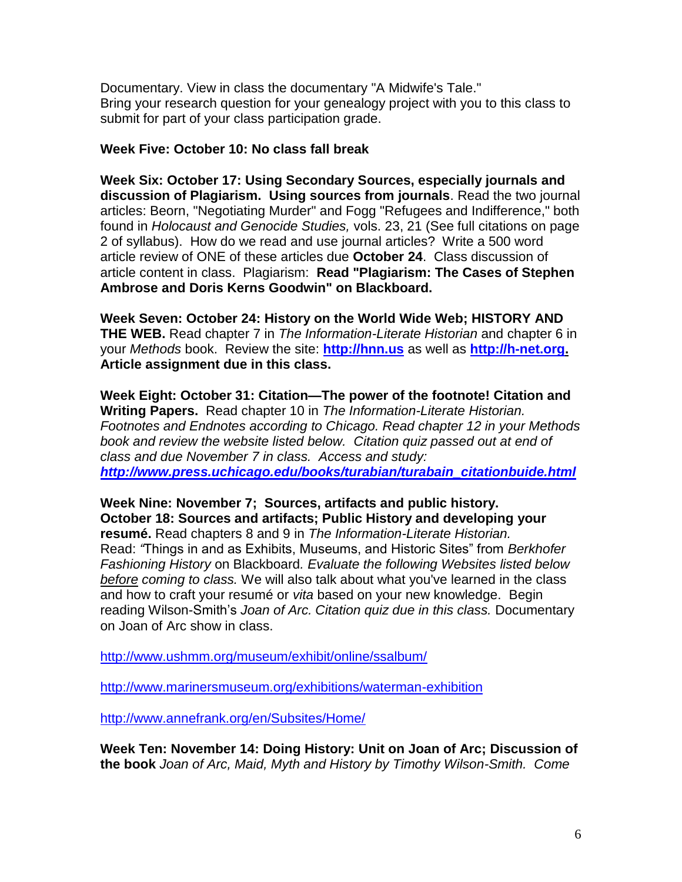Documentary. View in class the documentary "A Midwife's Tale." Bring your research question for your genealogy project with you to this class to submit for part of your class participation grade.

#### **Week Five: October 10: No class fall break**

**Week Six: October 17: Using Secondary Sources, especially journals and discussion of Plagiarism. Using sources from journals**. Read the two journal articles: Beorn, "Negotiating Murder" and Fogg "Refugees and Indifference," both found in *Holocaust and Genocide Studies,* vols. 23, 21 (See full citations on page 2 of syllabus). How do we read and use journal articles? Write a 500 word article review of ONE of these articles due **October 24**. Class discussion of article content in class. Plagiarism: **Read "Plagiarism: The Cases of Stephen Ambrose and Doris Kerns Goodwin" on Blackboard.** 

**Week Seven: October 24: History on the World Wide Web; HISTORY AND THE WEB.** Read chapter 7 in *The Information-Literate Historian* and chapter 6 in your *Methods* book. Review the site: **[http://hnn.us](http://hnn.us/)** as well as **[http://h-net.org.](http://h-net.org/) Article assignment due in this class.** 

**Week Eight: October 31: Citation—The power of the footnote! Citation and Writing Papers.** Read chapter 10 in *The Information-Literate Historian. Footnotes and Endnotes according to Chicago. Read chapter 12 in your Methods book and review the website listed below. Citation quiz passed out at end of class and due November 7 in class. Access and study: [http://www.press.uchicago.edu/books/turabian/turabain\\_citationbuide.html](http://www.press.uchicago.edu/books/turabian/turabain_citationbuide.html)*

**Week Nine: November 7; Sources, artifacts and public history. October 18: Sources and artifacts; Public History and developing your resumé.** Read chapters 8 and 9 in *The Information-Literate Historian.* Read: *"*Things in and as Exhibits, Museums, and Historic Sites" from *Berkhofer Fashioning History* on Blackboard*. Evaluate the following Websites listed below before coming to class.* We will also talk about what you've learned in the class and how to craft your resumé or *vita* based on your new knowledge. Begin reading Wilson-Smith's *Joan of Arc. Citation quiz due in this class.* Documentary on Joan of Arc show in class.

<http://www.ushmm.org/museum/exhibit/online/ssalbum/>

<http://www.marinersmuseum.org/exhibitions/waterman-exhibition>

<http://www.annefrank.org/en/Subsites/Home/>

**Week Ten: November 14: Doing History: Unit on Joan of Arc; Discussion of the book** *Joan of Arc, Maid, Myth and History by Timothy Wilson-Smith. Come*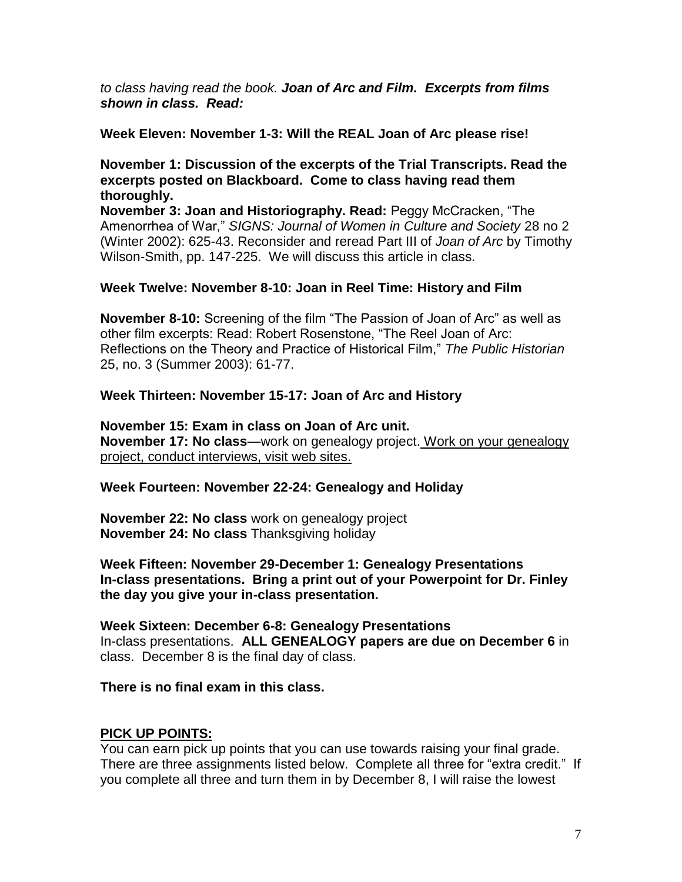*to class having read the book. Joan of Arc and Film. Excerpts from films shown in class. Read:*

#### **Week Eleven: November 1-3: Will the REAL Joan of Arc please rise!**

#### **November 1: Discussion of the excerpts of the Trial Transcripts. Read the excerpts posted on Blackboard. Come to class having read them thoroughly.**

**November 3: Joan and Historiography. Read:** Peggy McCracken, "The Amenorrhea of War," *SIGNS: Journal of Women in Culture and Society* 28 no 2 (Winter 2002): 625-43. Reconsider and reread Part III of *Joan of Arc* by Timothy Wilson-Smith, pp. 147-225. We will discuss this article in class.

### **Week Twelve: November 8-10: Joan in Reel Time: History and Film**

**November 8-10:** Screening of the film "The Passion of Joan of Arc" as well as other film excerpts: Read: Robert Rosenstone, "The Reel Joan of Arc: Reflections on the Theory and Practice of Historical Film," *The Public Historian* 25, no. 3 (Summer 2003): 61-77.

#### **Week Thirteen: November 15-17: Joan of Arc and History**

**November 15: Exam in class on Joan of Arc unit. November 17: No class**—work on genealogy project. Work on your genealogy project, conduct interviews, visit web sites.

#### **Week Fourteen: November 22-24: Genealogy and Holiday**

**November 22: No class** work on genealogy project **November 24: No class** Thanksgiving holiday

**Week Fifteen: November 29-December 1: Genealogy Presentations In-class presentations. Bring a print out of your Powerpoint for Dr. Finley the day you give your in-class presentation.** 

**Week Sixteen: December 6-8: Genealogy Presentations** In-class presentations. **ALL GENEALOGY papers are due on December 6** in class. December 8 is the final day of class.

#### **There is no final exam in this class.**

### **PICK UP POINTS:**

You can earn pick up points that you can use towards raising your final grade. There are three assignments listed below. Complete all three for "extra credit." If you complete all three and turn them in by December 8, I will raise the lowest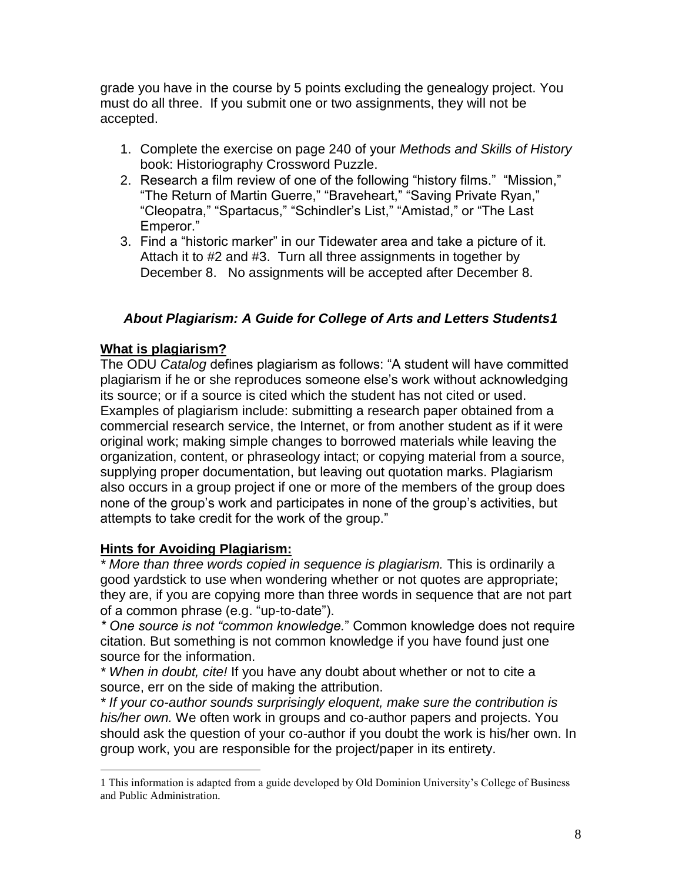grade you have in the course by 5 points excluding the genealogy project. You must do all three. If you submit one or two assignments, they will not be accepted.

- 1. Complete the exercise on page 240 of your *Methods and Skills of History* book: Historiography Crossword Puzzle.
- 2. Research a film review of one of the following "history films." "Mission," "The Return of Martin Guerre," "Braveheart," "Saving Private Ryan," "Cleopatra," "Spartacus," "Schindler's List," "Amistad," or "The Last Emperor."
- 3. Find a "historic marker" in our Tidewater area and take a picture of it. Attach it to #2 and #3. Turn all three assignments in together by December 8. No assignments will be accepted after December 8.

# *About Plagiarism: A Guide for College of Arts and Letters Students1*

# **What is plagiarism?**

The ODU *Catalog* defines plagiarism as follows: "A student will have committed plagiarism if he or she reproduces someone else's work without acknowledging its source; or if a source is cited which the student has not cited or used. Examples of plagiarism include: submitting a research paper obtained from a commercial research service, the Internet, or from another student as if it were original work; making simple changes to borrowed materials while leaving the organization, content, or phraseology intact; or copying material from a source, supplying proper documentation, but leaving out quotation marks. Plagiarism also occurs in a group project if one or more of the members of the group does none of the group's work and participates in none of the group's activities, but attempts to take credit for the work of the group."

# **Hints for Avoiding Plagiarism:**

*\* More than three words copied in sequence is plagiarism.* This is ordinarily a good yardstick to use when wondering whether or not quotes are appropriate; they are, if you are copying more than three words in sequence that are not part of a common phrase (e.g. "up-to-date").

*\* One source is not "common knowledge.*" Common knowledge does not require citation. But something is not common knowledge if you have found just one source for the information.

*\* When in doubt, cite!* If you have any doubt about whether or not to cite a source, err on the side of making the attribution.

*\* If your co-author sounds surprisingly eloquent, make sure the contribution is his/her own.* We often work in groups and co-author papers and projects. You should ask the question of your co-author if you doubt the work is his/her own. In group work, you are responsible for the project/paper in its entirety.

 $\overline{a}$ 1 This information is adapted from a guide developed by Old Dominion University's College of Business and Public Administration.